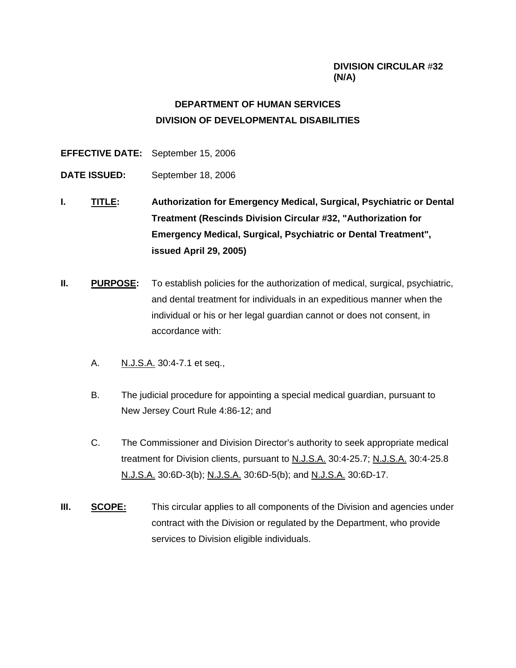## **DIVISION CIRCULAR** #**32 (N/A)**

# **DEPARTMENT OF HUMAN SERVICES DIVISION OF DEVELOPMENTAL DISABILITIES**

**EFFECTIVE DATE:** September 15, 2006

- **DATE ISSUED:** September 18, 2006
- **I. TITLE: Authorization for Emergency Medical, Surgical, Psychiatric or Dental Treatment (Rescinds Division Circular #32, "Authorization for Emergency Medical, Surgical, Psychiatric or Dental Treatment", issued April 29, 2005)**
- **II. PURPOSE:** To establish policies for the authorization of medical, surgical, psychiatric, and dental treatment for individuals in an expeditious manner when the individual or his or her legal guardian cannot or does not consent, in accordance with:
	- A. N.J.S.A. 30:4-7.1 et seq.,
	- B. The judicial procedure for appointing a special medical guardian, pursuant to New Jersey Court Rule 4:86-12; and
	- C. The Commissioner and Division Director's authority to seek appropriate medical treatment for Division clients, pursuant to N.J.S.A. 30:4-25.7; N.J.S.A. 30:4-25.8 N.J.S.A. 30:6D-3(b); N.J.S.A. 30:6D-5(b); and N.J.S.A. 30:6D-17.
- **III.** SCOPE: This circular applies to all components of the Division and agencies under contract with the Division or regulated by the Department, who provide services to Division eligible individuals.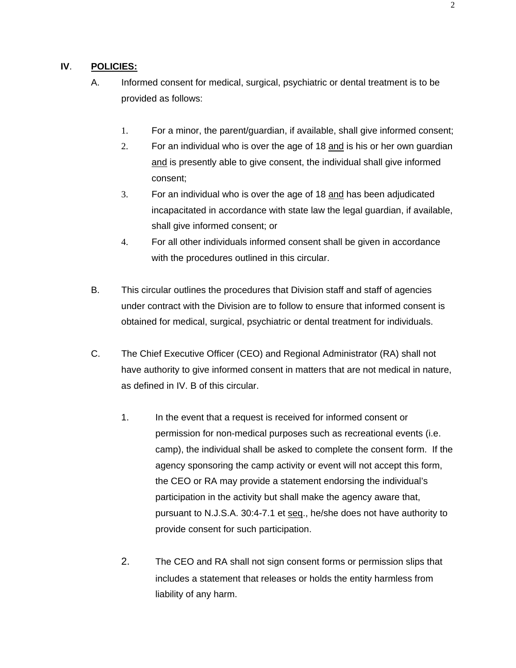### **IV**. **POLICIES:**

- A. Informed consent for medical, surgical, psychiatric or dental treatment is to be provided as follows:
	- 1. For a minor, the parent/guardian, if available, shall give informed consent;
	- 2. For an individual who is over the age of 18 and is his or her own guardian and is presently able to give consent, the individual shall give informed consent;
	- 3. For an individual who is over the age of 18 and has been adjudicated incapacitated in accordance with state law the legal guardian, if available, shall give informed consent; or
	- 4. For all other individuals informed consent shall be given in accordance with the procedures outlined in this circular.
- B. This circular outlines the procedures that Division staff and staff of agencies under contract with the Division are to follow to ensure that informed consent is obtained for medical, surgical, psychiatric or dental treatment for individuals.
- C. The Chief Executive Officer (CEO) and Regional Administrator (RA) shall not have authority to give informed consent in matters that are not medical in nature, as defined in IV. B of this circular.
	- 1. In the event that a request is received for informed consent or permission for non-medical purposes such as recreational events (i.e. camp), the individual shall be asked to complete the consent form. If the agency sponsoring the camp activity or event will not accept this form, the CEO or RA may provide a statement endorsing the individual's participation in the activity but shall make the agency aware that, pursuant to N.J.S.A. 30:4-7.1 et seq., he/she does not have authority to provide consent for such participation.
	- 2. The CEO and RA shall not sign consent forms or permission slips that includes a statement that releases or holds the entity harmless from liability of any harm.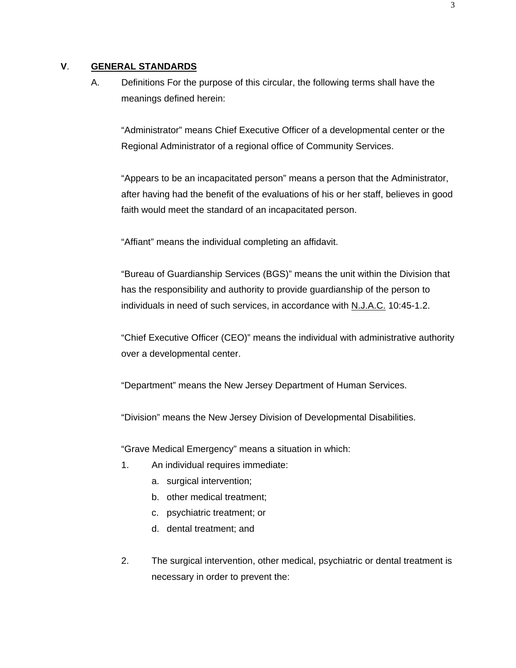#### **V**. **GENERAL STANDARDS**

A. Definitions For the purpose of this circular, the following terms shall have the meanings defined herein:

"Administrator" means Chief Executive Officer of a developmental center or the Regional Administrator of a regional office of Community Services.

"Appears to be an incapacitated person" means a person that the Administrator, after having had the benefit of the evaluations of his or her staff, believes in good faith would meet the standard of an incapacitated person.

"Affiant" means the individual completing an affidavit.

"Bureau of Guardianship Services (BGS)" means the unit within the Division that has the responsibility and authority to provide guardianship of the person to individuals in need of such services, in accordance with N.J.A.C. 10:45-1.2.

"Chief Executive Officer (CEO)" means the individual with administrative authority over a developmental center.

"Department" means the New Jersey Department of Human Services.

"Division" means the New Jersey Division of Developmental Disabilities.

"Grave Medical Emergency" means a situation in which:

- 1. An individual requires immediate:
	- a. surgical intervention;
	- b. other medical treatment;
	- c. psychiatric treatment; or
	- d. dental treatment; and
- 2. The surgical intervention, other medical, psychiatric or dental treatment is necessary in order to prevent the: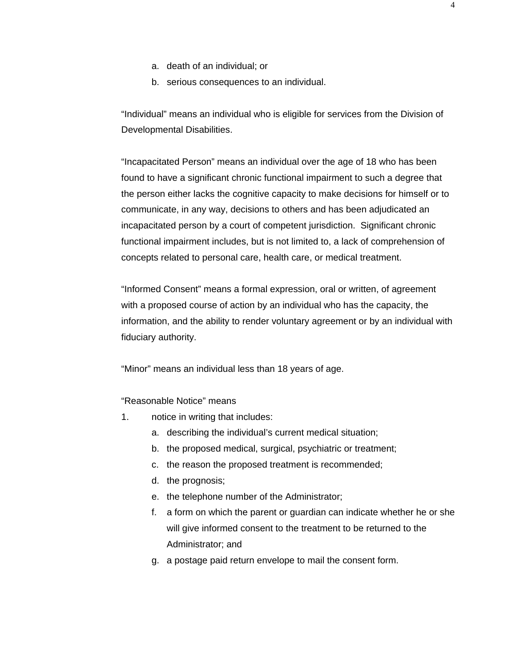- a. death of an individual; or
- b. serious consequences to an individual.

"Individual" means an individual who is eligible for services from the Division of Developmental Disabilities.

"Incapacitated Person" means an individual over the age of 18 who has been found to have a significant chronic functional impairment to such a degree that the person either lacks the cognitive capacity to make decisions for himself or to communicate, in any way, decisions to others and has been adjudicated an incapacitated person by a court of competent jurisdiction. Significant chronic functional impairment includes, but is not limited to, a lack of comprehension of concepts related to personal care, health care, or medical treatment.

"Informed Consent" means a formal expression, oral or written, of agreement with a proposed course of action by an individual who has the capacity, the information, and the ability to render voluntary agreement or by an individual with fiduciary authority.

"Minor" means an individual less than 18 years of age.

"Reasonable Notice" means

- 1. notice in writing that includes:
	- a. describing the individual's current medical situation;
	- b. the proposed medical, surgical, psychiatric or treatment;
	- c. the reason the proposed treatment is recommended;
	- d. the prognosis;
	- e. the telephone number of the Administrator;
	- f. a form on which the parent or guardian can indicate whether he or she will give informed consent to the treatment to be returned to the Administrator; and
	- g. a postage paid return envelope to mail the consent form.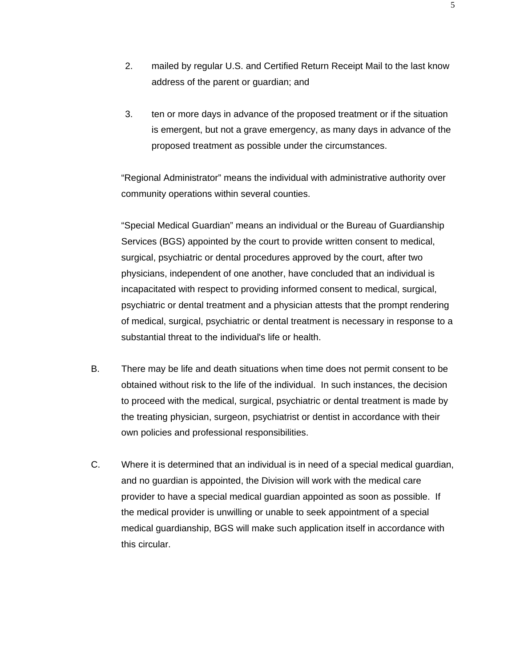- 2. mailed by regular U.S. and Certified Return Receipt Mail to the last know address of the parent or guardian; and
- 3. ten or more days in advance of the proposed treatment or if the situation is emergent, but not a grave emergency, as many days in advance of the proposed treatment as possible under the circumstances.

"Regional Administrator" means the individual with administrative authority over community operations within several counties.

"Special Medical Guardian" means an individual or the Bureau of Guardianship Services (BGS) appointed by the court to provide written consent to medical, surgical, psychiatric or dental procedures approved by the court, after two physicians, independent of one another, have concluded that an individual is incapacitated with respect to providing informed consent to medical, surgical, psychiatric or dental treatment and a physician attests that the prompt rendering of medical, surgical, psychiatric or dental treatment is necessary in response to a substantial threat to the individual's life or health.

- B. There may be life and death situations when time does not permit consent to be obtained without risk to the life of the individual. In such instances, the decision to proceed with the medical, surgical, psychiatric or dental treatment is made by the treating physician, surgeon, psychiatrist or dentist in accordance with their own policies and professional responsibilities.
- C. Where it is determined that an individual is in need of a special medical guardian, and no guardian is appointed, the Division will work with the medical care provider to have a special medical guardian appointed as soon as possible. If the medical provider is unwilling or unable to seek appointment of a special medical guardianship, BGS will make such application itself in accordance with this circular.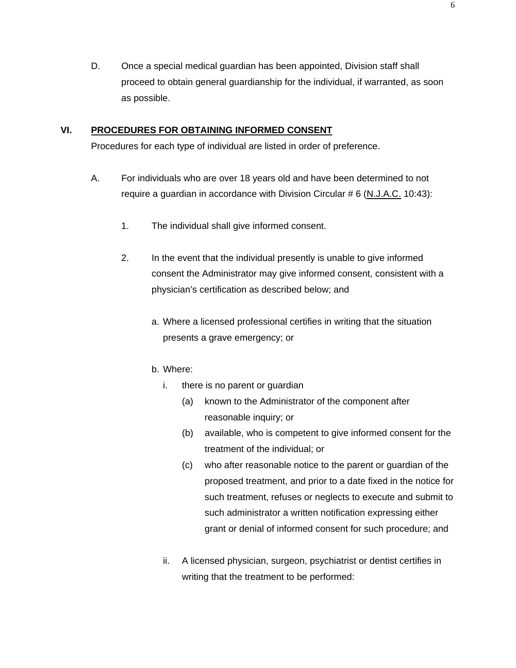D. Once a special medical guardian has been appointed, Division staff shall proceed to obtain general guardianship for the individual, if warranted, as soon as possible.

## **VI. PROCEDURES FOR OBTAINING INFORMED CONSENT**

Procedures for each type of individual are listed in order of preference.

- A. For individuals who are over 18 years old and have been determined to not require a guardian in accordance with Division Circular # 6 (N.J.A.C. 10:43):
	- 1. The individual shall give informed consent.
	- 2. In the event that the individual presently is unable to give informed consent the Administrator may give informed consent, consistent with a physician's certification as described below; and
		- a. Where a licensed professional certifies in writing that the situation presents a grave emergency; or
		- b. Where:
			- i. there is no parent or guardian
				- (a) known to the Administrator of the component after reasonable inquiry; or
				- (b) available, who is competent to give informed consent for the treatment of the individual; or
				- (c) who after reasonable notice to the parent or guardian of the proposed treatment, and prior to a date fixed in the notice for such treatment, refuses or neglects to execute and submit to such administrator a written notification expressing either grant or denial of informed consent for such procedure; and
			- ii. A licensed physician, surgeon, psychiatrist or dentist certifies in writing that the treatment to be performed: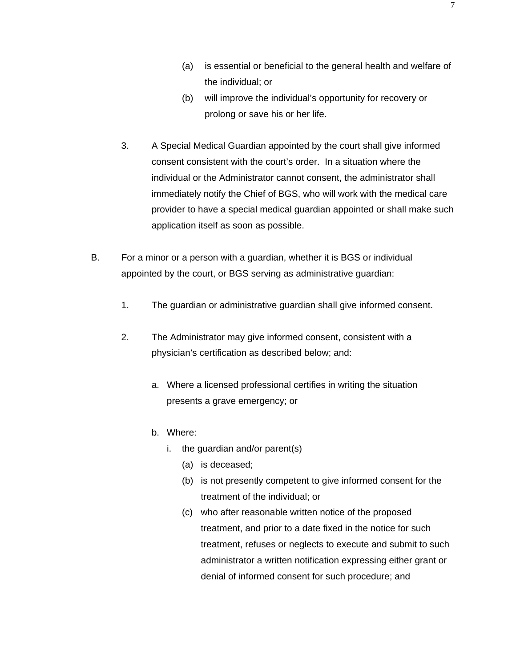- (a) is essential or beneficial to the general health and welfare of the individual; or
- (b) will improve the individual's opportunity for recovery or prolong or save his or her life.
- 3. A Special Medical Guardian appointed by the court shall give informed consent consistent with the court's order. In a situation where the individual or the Administrator cannot consent, the administrator shall immediately notify the Chief of BGS, who will work with the medical care provider to have a special medical guardian appointed or shall make such application itself as soon as possible.
- B. For a minor or a person with a guardian, whether it is BGS or individual appointed by the court, or BGS serving as administrative guardian:
	- 1. The guardian or administrative guardian shall give informed consent.
	- 2. The Administrator may give informed consent, consistent with a physician's certification as described below; and:
		- a. Where a licensed professional certifies in writing the situation presents a grave emergency; or
		- b. Where:
			- i. the guardian and/or parent(s)
				- (a) is deceased;
				- (b) is not presently competent to give informed consent for the treatment of the individual; or
				- (c) who after reasonable written notice of the proposed treatment, and prior to a date fixed in the notice for such treatment, refuses or neglects to execute and submit to such administrator a written notification expressing either grant or denial of informed consent for such procedure; and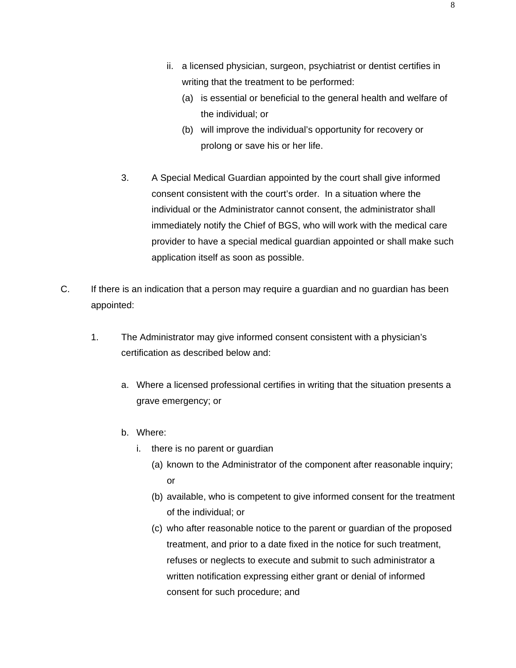- ii. a licensed physician, surgeon, psychiatrist or dentist certifies in writing that the treatment to be performed:
	- (a) is essential or beneficial to the general health and welfare of the individual; or
	- (b) will improve the individual's opportunity for recovery or prolong or save his or her life.
- 3. A Special Medical Guardian appointed by the court shall give informed consent consistent with the court's order. In a situation where the individual or the Administrator cannot consent, the administrator shall immediately notify the Chief of BGS, who will work with the medical care provider to have a special medical guardian appointed or shall make such application itself as soon as possible.
- C. If there is an indication that a person may require a guardian and no guardian has been appointed:
	- 1. The Administrator may give informed consent consistent with a physician's certification as described below and:
		- a. Where a licensed professional certifies in writing that the situation presents a grave emergency; or
		- b. Where:
			- i. there is no parent or guardian
				- (a) known to the Administrator of the component after reasonable inquiry; or
				- (b) available, who is competent to give informed consent for the treatment of the individual; or
				- (c) who after reasonable notice to the parent or guardian of the proposed treatment, and prior to a date fixed in the notice for such treatment, refuses or neglects to execute and submit to such administrator a written notification expressing either grant or denial of informed consent for such procedure; and